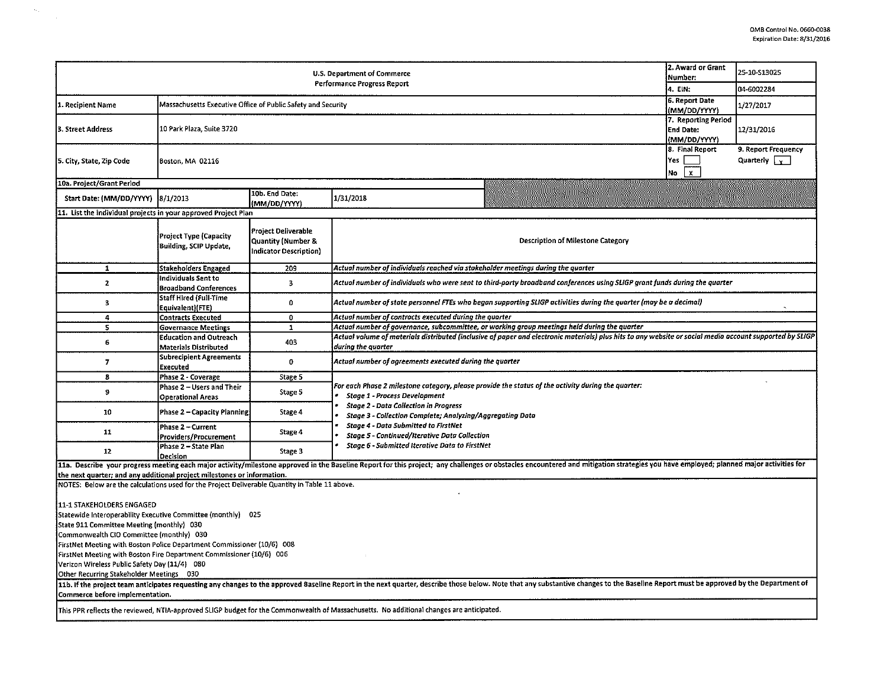| 2. Award or Grant<br><b>U.S. Department of Commerce</b>                                                                                                                                                                                                           |                                                               |                                                                     |                                                                                                                                                                                                                                                                                                                                                                                                                         |                                          |                                              | 25-10-\$13025                               |  |  |
|-------------------------------------------------------------------------------------------------------------------------------------------------------------------------------------------------------------------------------------------------------------------|---------------------------------------------------------------|---------------------------------------------------------------------|-------------------------------------------------------------------------------------------------------------------------------------------------------------------------------------------------------------------------------------------------------------------------------------------------------------------------------------------------------------------------------------------------------------------------|------------------------------------------|----------------------------------------------|---------------------------------------------|--|--|
| Performance Progress Report                                                                                                                                                                                                                                       |                                                               |                                                                     |                                                                                                                                                                                                                                                                                                                                                                                                                         |                                          | 4. EIN:                                      | 04-6002284                                  |  |  |
| 1. Recipient Name                                                                                                                                                                                                                                                 | Massachusetts Executive Office of Public Safety and Security  |                                                                     |                                                                                                                                                                                                                                                                                                                                                                                                                         |                                          | <b>6. Report Date</b><br>(MM/DD/YYYY)        | 1/27/2017                                   |  |  |
| 3. Street Address                                                                                                                                                                                                                                                 | 10 Park Plaza, Suite 3720                                     |                                                                     |                                                                                                                                                                                                                                                                                                                                                                                                                         |                                          |                                              | 12/31/2016                                  |  |  |
| 5. City, State, Zip Code                                                                                                                                                                                                                                          | Boston, MA 02116                                              |                                                                     |                                                                                                                                                                                                                                                                                                                                                                                                                         |                                          | 8. Final Report<br>Yes<br>No<br>$\mathbf{x}$ | 9. Report Frequency<br>Quarterly $\sqrt{ }$ |  |  |
| 10a. Project/Grant Period                                                                                                                                                                                                                                         |                                                               |                                                                     |                                                                                                                                                                                                                                                                                                                                                                                                                         |                                          |                                              |                                             |  |  |
| Start Date: (MM/DD/YYYY)                                                                                                                                                                                                                                          | 8/1/2013                                                      | 10b. End Date:<br>(MM/DD/YYYY)                                      | 1/31/2018                                                                                                                                                                                                                                                                                                                                                                                                               |                                          |                                              |                                             |  |  |
| 11. List the individual projects in your approved Project Plan                                                                                                                                                                                                    |                                                               |                                                                     |                                                                                                                                                                                                                                                                                                                                                                                                                         |                                          |                                              |                                             |  |  |
|                                                                                                                                                                                                                                                                   | Project Type (Capacity<br>Building, SCIP Update,              | Project Deliverable<br>Quantity (Number &<br>Indicator Description) |                                                                                                                                                                                                                                                                                                                                                                                                                         | <b>Description of Milestone Category</b> |                                              |                                             |  |  |
| 1                                                                                                                                                                                                                                                                 | Stakeholders Engaged                                          | 209                                                                 | Actual number of individuals reached via stakeholder meetings during the quarter                                                                                                                                                                                                                                                                                                                                        |                                          |                                              |                                             |  |  |
| $\mathbf{z}$                                                                                                                                                                                                                                                      | Individuals Sent to<br><b>Broadband Conferences</b>           | 3                                                                   | Actual number of individuals who were sent to third-party broadband conferences using SLIGP grant funds during the quarter                                                                                                                                                                                                                                                                                              |                                          |                                              |                                             |  |  |
| 3                                                                                                                                                                                                                                                                 | Staff Hired (Full-Time<br>Equivalent)(FTE)                    | 0                                                                   | Actual number of state personnel FTEs who began supporting SLIGP activities during the quarter (may be a decimal)                                                                                                                                                                                                                                                                                                       |                                          |                                              |                                             |  |  |
| 4                                                                                                                                                                                                                                                                 | <b>Contracts Executed</b>                                     | 0                                                                   | Actual number of contracts executed during the quarter                                                                                                                                                                                                                                                                                                                                                                  |                                          |                                              |                                             |  |  |
| 5                                                                                                                                                                                                                                                                 | <b>Governance Meetings</b>                                    | $\mathbf{1}$                                                        | Actual number of governance, subcommittee, or working group meetings held during the quarter                                                                                                                                                                                                                                                                                                                            |                                          |                                              |                                             |  |  |
| 6                                                                                                                                                                                                                                                                 | <b>Education and Outreach</b><br><b>Materials Distributed</b> | 403                                                                 | Actual volume of materials distributed (inclusive of paper and electronic materials) plus hits to any website or social media account supported by SLIGP<br>during the quarter                                                                                                                                                                                                                                          |                                          |                                              |                                             |  |  |
| $\overline{7}$                                                                                                                                                                                                                                                    | <b>Subrecipient Agreements</b><br>Executed                    | 0                                                                   | Actual number of agreements executed during the quarter                                                                                                                                                                                                                                                                                                                                                                 |                                          |                                              |                                             |  |  |
| 8                                                                                                                                                                                                                                                                 | <b>Phase 2 - Coverage</b>                                     | Stage 5                                                             |                                                                                                                                                                                                                                                                                                                                                                                                                         |                                          |                                              |                                             |  |  |
| 9                                                                                                                                                                                                                                                                 | Phase 2 - Users and Their<br><b>Operational Areas</b>         | Stage 5                                                             | For each Phase 2 milestone category, please provide the status of the activity during the quarter:<br><b>Stage 1 - Process Development</b><br><b>Stage 2 - Data Collection in Progress</b><br>Stage 3 - Collection Complete; Analyzing/Aggregating Data<br><b>Stage 4 - Data Submitted to FirstNet</b><br><b>Stage 5 - Continued/Iterative Data Collection</b><br><b>Stage 6 - Submitted Iterative Data to FirstNet</b> |                                          |                                              |                                             |  |  |
| 10                                                                                                                                                                                                                                                                | Phase 2 - Capacity Planning                                   | Stage 4                                                             |                                                                                                                                                                                                                                                                                                                                                                                                                         |                                          |                                              |                                             |  |  |
| 11                                                                                                                                                                                                                                                                | Phase 2 - Current<br>Providers/Procurement                    | Stage 4                                                             |                                                                                                                                                                                                                                                                                                                                                                                                                         |                                          |                                              |                                             |  |  |
| 12                                                                                                                                                                                                                                                                | Phase 2 – State Plan<br>l Decision                            | Stage 3                                                             |                                                                                                                                                                                                                                                                                                                                                                                                                         |                                          |                                              |                                             |  |  |
|                                                                                                                                                                                                                                                                   |                                                               |                                                                     | 11a. Describe your progress meeting each major activity/milestone approved in the Baseline Report for this project; any challenges or obstacles encountered and mitigation strategies you have employed; planned major activit                                                                                                                                                                                          |                                          |                                              |                                             |  |  |
| the next quarter; and any additional project milestones or information.<br>NOTES: Below are the calculations used for the Project Deliverable Quantity in Table 11 above.                                                                                         |                                                               |                                                                     |                                                                                                                                                                                                                                                                                                                                                                                                                         |                                          |                                              |                                             |  |  |
|                                                                                                                                                                                                                                                                   |                                                               |                                                                     |                                                                                                                                                                                                                                                                                                                                                                                                                         |                                          |                                              |                                             |  |  |
| 11-1 STAKEHOLDERS ENGAGED                                                                                                                                                                                                                                         |                                                               |                                                                     |                                                                                                                                                                                                                                                                                                                                                                                                                         |                                          |                                              |                                             |  |  |
| Statewide Interoperability Executive Committee (monthly) 025<br>State 911 Committee Meeting (monthly) 030                                                                                                                                                         |                                                               |                                                                     |                                                                                                                                                                                                                                                                                                                                                                                                                         |                                          |                                              |                                             |  |  |
| Commonwealth CIO Committee (monthly) 030                                                                                                                                                                                                                          |                                                               |                                                                     |                                                                                                                                                                                                                                                                                                                                                                                                                         |                                          |                                              |                                             |  |  |
| FirstNet Meeting with Boston Police Department Commissioner (10/6) 008                                                                                                                                                                                            |                                                               |                                                                     |                                                                                                                                                                                                                                                                                                                                                                                                                         |                                          |                                              |                                             |  |  |
| FirstNet Meeting with Boston Fire Department Commissioner (10/6) 006                                                                                                                                                                                              |                                                               |                                                                     |                                                                                                                                                                                                                                                                                                                                                                                                                         |                                          |                                              |                                             |  |  |
| Verizon Wireless Public Safety Day (11/4) 080                                                                                                                                                                                                                     |                                                               |                                                                     |                                                                                                                                                                                                                                                                                                                                                                                                                         |                                          |                                              |                                             |  |  |
| Other Recurring Stakeholder Meetings 030                                                                                                                                                                                                                          |                                                               |                                                                     |                                                                                                                                                                                                                                                                                                                                                                                                                         |                                          |                                              |                                             |  |  |
| 11b. If the project team anticipates requesting any changes to the approved Baseline Report in the next quarter, describe those below. Note that any substantive changes to the Baseline Report must be approved by the Depart<br>Commerce before implementation. |                                                               |                                                                     |                                                                                                                                                                                                                                                                                                                                                                                                                         |                                          |                                              |                                             |  |  |
| This PPR reflects the reviewed, NTIA-approved SLIGP budget for the Commonwealth of Massachusetts. No additional changes are anticipated.                                                                                                                          |                                                               |                                                                     |                                                                                                                                                                                                                                                                                                                                                                                                                         |                                          |                                              |                                             |  |  |
|                                                                                                                                                                                                                                                                   |                                                               |                                                                     |                                                                                                                                                                                                                                                                                                                                                                                                                         |                                          |                                              |                                             |  |  |

 $\sim$  .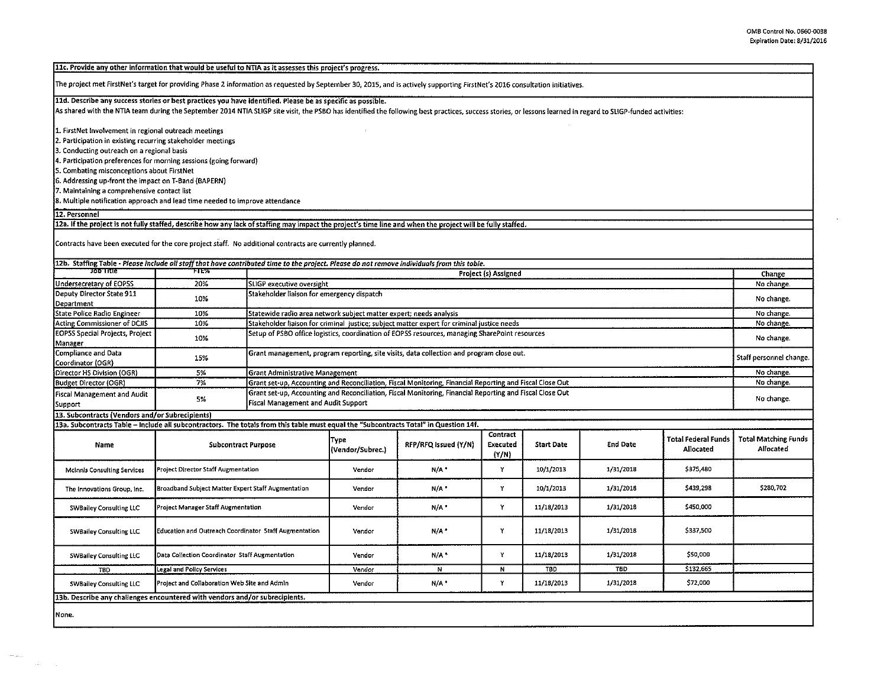$\sim$ 

| 11c. Provide any other information that would be useful to NTIA as it assesses this project's progress.                                                                                                       |                                                       |                                                                                                              |                          |                                                                                                          |                               |                   |                 |                                         |                                          |
|---------------------------------------------------------------------------------------------------------------------------------------------------------------------------------------------------------------|-------------------------------------------------------|--------------------------------------------------------------------------------------------------------------|--------------------------|----------------------------------------------------------------------------------------------------------|-------------------------------|-------------------|-----------------|-----------------------------------------|------------------------------------------|
| The project met FirstNet's target for providing Phase 2 information as requested by September 30, 2015, and is actively supporting FirstNet's 2016 consultation initiatives.                                  |                                                       |                                                                                                              |                          |                                                                                                          |                               |                   |                 |                                         |                                          |
| 11d. Describe any success stories or best practices you have identified. Please be as specific as possible.                                                                                                   |                                                       |                                                                                                              |                          |                                                                                                          |                               |                   |                 |                                         |                                          |
| As shared with the NTIA team during the September 2014 NTIA SLIGP site visit, the PSBO has identified the following best practices, success stories, or lessons learned in regard to SLIGP-funded activities: |                                                       |                                                                                                              |                          |                                                                                                          |                               |                   |                 |                                         |                                          |
| 1. FirstNet Involvement in regional outreach meetings                                                                                                                                                         |                                                       |                                                                                                              |                          |                                                                                                          |                               |                   |                 |                                         |                                          |
| 2. Participation in existing recurring stakeholder meetings                                                                                                                                                   |                                                       |                                                                                                              |                          |                                                                                                          |                               |                   |                 |                                         |                                          |
| 3. Conducting outreach on a regional basis                                                                                                                                                                    |                                                       |                                                                                                              |                          |                                                                                                          |                               |                   |                 |                                         |                                          |
| 4. Participation preferences for morning sessions (going forward)                                                                                                                                             |                                                       |                                                                                                              |                          |                                                                                                          |                               |                   |                 |                                         |                                          |
| 5. Combating misconceptions about FirstNet                                                                                                                                                                    |                                                       |                                                                                                              |                          |                                                                                                          |                               |                   |                 |                                         |                                          |
| 6. Addressing up-front the impact on T-Band (BAPERN)                                                                                                                                                          |                                                       |                                                                                                              |                          |                                                                                                          |                               |                   |                 |                                         |                                          |
| 7. Maintaining a comprehensive contact list                                                                                                                                                                   |                                                       |                                                                                                              |                          |                                                                                                          |                               |                   |                 |                                         |                                          |
| 8. Multiple notification approach and lead time needed to improve attendance                                                                                                                                  |                                                       |                                                                                                              |                          |                                                                                                          |                               |                   |                 |                                         |                                          |
| 12. Personnel                                                                                                                                                                                                 |                                                       |                                                                                                              |                          |                                                                                                          |                               |                   |                 |                                         |                                          |
| 12a. If the project is not fully staffed, describe how any lack of staffing may impact the project's time line and when the project will be fully staffed.                                                    |                                                       |                                                                                                              |                          |                                                                                                          |                               |                   |                 |                                         |                                          |
| Contracts have been executed for the core project staff. No additional contracts are currently planned.                                                                                                       |                                                       |                                                                                                              |                          |                                                                                                          |                               |                   |                 |                                         |                                          |
| 12b. Staffing Table - Please include all staff that have contributed time to the project. Please do not remove individuals from this table.                                                                   |                                                       |                                                                                                              |                          |                                                                                                          |                               |                   |                 |                                         |                                          |
| उठेक गराहा                                                                                                                                                                                                    | FTF%                                                  |                                                                                                              |                          |                                                                                                          | Project (s) Assigned          |                   |                 |                                         | Change                                   |
| Undersecretary of EOPSS                                                                                                                                                                                       | 20%                                                   | SLIGP executive oversight                                                                                    |                          |                                                                                                          |                               |                   |                 |                                         | No change.                               |
| Deputy Director State 911<br>Department                                                                                                                                                                       | 10%                                                   | Stakeholder liaison for emergency dispatch                                                                   |                          |                                                                                                          |                               |                   |                 | No change.                              |                                          |
| State Police Radio Engineer                                                                                                                                                                                   | 10%                                                   | Statewide radio area network subject matter expert; needs analysis                                           |                          |                                                                                                          |                               |                   |                 | No change.                              |                                          |
| Acting Commissioner of DCJIS                                                                                                                                                                                  | 10%                                                   | Stakeholder liaison for criminal justice; subject matter expert for criminal justice needs<br>No change.     |                          |                                                                                                          |                               |                   |                 |                                         |                                          |
| EOP5S Special Projects, Project<br>Manager                                                                                                                                                                    | 10%                                                   | Setup of PSBO office logistics, coordination of EOPSS resources, managing SharePoint resources<br>No change. |                          |                                                                                                          |                               |                   |                 |                                         |                                          |
| Compliance and Data<br>Coordinator (OGR)                                                                                                                                                                      | 15%                                                   | Grant management, program reporting, site visits, data collection and program close out.                     |                          |                                                                                                          |                               |                   |                 |                                         | Staff personnel change.                  |
| Director HS Division (OGR)                                                                                                                                                                                    | 5%                                                    | <b>Grant Administrative Management</b>                                                                       |                          |                                                                                                          |                               |                   |                 |                                         | No change.                               |
| Budget Director (OGR)                                                                                                                                                                                         | 7%                                                    |                                                                                                              |                          | Grant set-up, Accounting and Reconciliation, Fiscal Monitoring, Financial Reporting and Fiscal Close Out |                               |                   |                 |                                         | No change.                               |
| Fiscal Management and Audit                                                                                                                                                                                   |                                                       |                                                                                                              |                          | Grant set-up, Accounting and Reconciliation, Fiscal Monitoring, Financial Reporting and Fiscal Close Out |                               |                   |                 |                                         |                                          |
| Support                                                                                                                                                                                                       | 5%                                                    | <b>Fiscal Management and Audit Support</b>                                                                   |                          |                                                                                                          |                               |                   |                 |                                         | No change.                               |
| 13. Subcontracts (Vendors and/or Subrecipients)                                                                                                                                                               |                                                       |                                                                                                              |                          |                                                                                                          |                               |                   |                 |                                         |                                          |
| 13a. Subcontracts Table - Include all subcontractors. The totals from this table must equal the "Subcontracts Total" in Question 14f.                                                                         |                                                       |                                                                                                              |                          |                                                                                                          |                               |                   |                 |                                         |                                          |
| Name                                                                                                                                                                                                          | <b>Subcontract Purpose</b>                            |                                                                                                              | Type<br>(Vendor/Subrec.) | RFP/RFQ Issued (Y/N)                                                                                     | Contract<br>Executed<br>(Y/N) | <b>Start Date</b> | <b>End Date</b> | <b>Total Federal Funds</b><br>Allocated | <b>Total Matching Funds</b><br>Allocated |
| <b>McInnis Consulting Services</b>                                                                                                                                                                            | <b>Project Director Staff Augmentation</b>            |                                                                                                              | Vendor                   | N/A <sup>+</sup>                                                                                         | Y                             | 10/1/2013         | 1/31/2018       | \$375,480                               |                                          |
| The Innovations Group, Inc.                                                                                                                                                                                   | Broadband Subject Matter Expert Staff Augmentation    |                                                                                                              | Vendor                   | N/A*                                                                                                     | Y                             | 10/1/2013         | 1/31/2018       | \$439,298                               | \$280.702                                |
| <b>SWBailey Consulting LLC</b>                                                                                                                                                                                | <b>Project Manager Staff Augmentation</b>             |                                                                                                              | Vendor                   | N/A                                                                                                      | Y                             | 11/18/2013        | 1/31/2018       | \$450,000                               |                                          |
| <b>SWBailey Consulting LLC</b>                                                                                                                                                                                | Education and Outreach Coordinator Staff Augmentation |                                                                                                              | Vendor                   | $N/A$ <sup>*</sup>                                                                                       | Y                             | 11/18/2013        | 1/31/2018       | \$337,500                               |                                          |
| <b>SWBailey Consulting LLC</b>                                                                                                                                                                                | Data Collection Coordinator Staff Augmentation        |                                                                                                              | Vendor                   | N/A <sup>+</sup>                                                                                         | Y                             | 11/18/2013        | 1/31/2018       | \$50,000                                |                                          |
| TBD                                                                                                                                                                                                           | <b>Legal and Policy Services</b>                      |                                                                                                              | Vendor                   | Ν                                                                                                        | N                             | TBD               | <b>TBD</b>      | \$132,665                               |                                          |
| <b>SWBailey Consulting LLC</b>                                                                                                                                                                                | Project and Collaboration Web Site and Admin          |                                                                                                              | Vendor                   | N/A <sup>+</sup>                                                                                         | Y                             | 11/18/2013        | 1/31/2018       | \$72,000                                |                                          |
| 13b. Describe any challenges encountered with vendors and/or subrecipients.                                                                                                                                   |                                                       |                                                                                                              |                          |                                                                                                          |                               |                   |                 |                                         |                                          |
| None.                                                                                                                                                                                                         |                                                       |                                                                                                              |                          |                                                                                                          |                               |                   |                 |                                         |                                          |
|                                                                                                                                                                                                               |                                                       |                                                                                                              |                          |                                                                                                          |                               |                   |                 |                                         |                                          |

 $\label{eq:R1} \frac{\partial \mathbf{v}_{\text{norm}}}{\partial \mathbf{v}_{\text{norm}}} = \frac{1}{\sqrt{2\pi}} \sum_{i=1}^{N} \frac{1}{\sqrt{2\pi}} \sum_{j=1}^{N} \frac{1}{j} \sum_{j=1}^{N} \frac{1}{j} \sum_{j=1}^{N} \frac{1}{j} \sum_{j=1}^{N} \frac{1}{j} \sum_{j=1}^{N} \frac{1}{j} \sum_{j=1}^{N} \frac{1}{j} \sum_{j=1}^{N} \frac{1}{j} \sum_{j=1}^{N} \frac{1}{j} \sum_{j=1}^{N} \frac$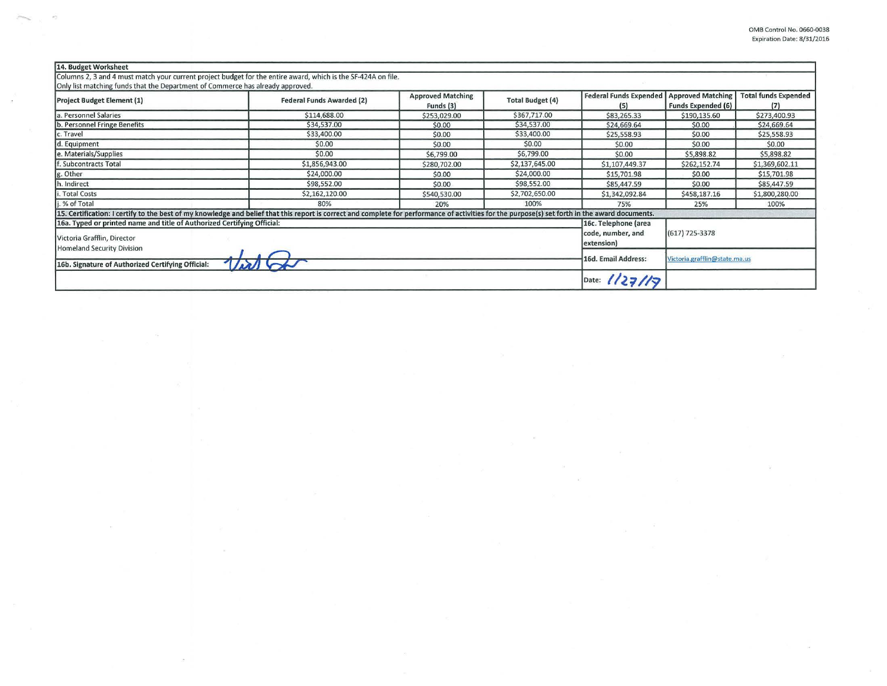$(7)$ 

## 14. Budget Worksheet Columns 2, 3 and 4 must match your current project budget for the entire award, which is the SF-424A on file. Only list matching funds that the Department of Commerce has already approved. **Approved Matching Federal Funds Expended | Approved Matching | Total funds Expended Project Budget Element (1) Federal Funds Awarded (2) Total Budget (4)** Funds (3)  $(5)$ **Funds Expended (6)** a. Personnel Salaries \$114,688.00 \$253,029.00 \$367,717.00 \$83,265.33 \$190,135.60 \$273,400.93 b. Personnel Fringe Benefits \$34,537.00 \$34,537.00 \$24,669.64  $$0.00$ \$24,669.64  $$0.00$ c. Travel \$33,400.00  $$0.00$ \$33,400.00 \$25,558.93  $$0.00$ \$25,558.93  $$0.00$  $$0.00$  $$0.00$ d. Equipment  $$0.00$  $$0.00$  $$0.00$ e. Materials/Supplies  $$0.00$ \$6,799.00 \$6,799.00  $$0.00$ \$5,898.82 \$5,898.82 . Subcontracts Total \$1,856,943.00 \$280,702.00 \$2,137,645.00 \$1,107,449.37 \$262,152.74 \$1,369,602.11 \$24,000.00 \$24,000.00 \$15,701.98 g. Other  $$0.00$ \$15,701.98  $$0.00$ h. Indirect \$98,552.00  $$0.00$ \$98,552.00 \$85,447.59  $$0.00$ \$85,447.59 i. Total Costs \$1,800,280.00 \$2,162,120.00 \$2,702,650.00 \$1,342,092.84 \$458,187.16 \$540,530.00 .% of Total 100% 25% 80% 20% 75% 100% 15. Certification: I certify to the best of my knowledge and belief that this report is correct and complete for performance of activities for the purpose(s) set forth in the award documents.

| [16a. Typed or printed name and title of Authorized Certifying Official:<br>Victoria Grafflin, Director<br><b>Homeland Security Division</b> | 116c. Telephone (area<br>code, number, and<br>extension) | $(617) 725 - 3378$            |  |
|----------------------------------------------------------------------------------------------------------------------------------------------|----------------------------------------------------------|-------------------------------|--|
| 16b. Signature of Authorized Certifying Official:                                                                                            | -16d. Email Address:                                     | Victoria.grafflin@state.ma.us |  |
|                                                                                                                                              | Date:                                                    |                               |  |